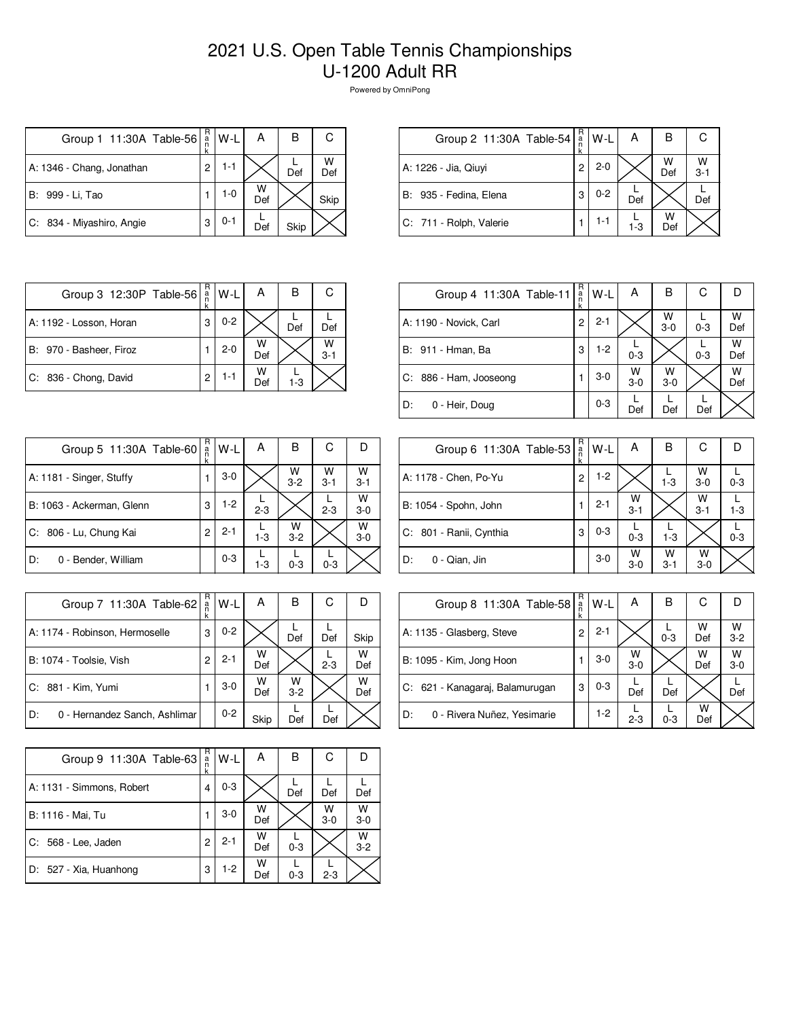## 2021 U.S. Open Table Tennis Championships U-1200 Adult RR

Powered by OmniPong

| Group 1 11:30A Table-56   | R<br>a<br>n | W-L     | А        | в    | С        |
|---------------------------|-------------|---------|----------|------|----------|
| A: 1346 - Chang, Jonathan | 2           | 1-1     |          | Def  | W<br>Def |
| B: 999 - Li, Tao          |             | $1 - 0$ | W<br>Def |      | Skip     |
| C: 834 - Miyashiro, Angie | 3           | $0 - 1$ | Def      | Skip |          |

| Group 2 11:30A Table-54 | $R_{a}$ | $W-L$   | А     | в        |              |
|-------------------------|---------|---------|-------|----------|--------------|
| A: 1226 - Jia, Qiuyi    | 2       | $2 - 0$ |       | W<br>Def | W<br>$3 - 1$ |
| B: 935 - Fedina, Elena  | 3       | $0 - 2$ | Def   |          | Def          |
| C: 711 - Rolph, Valerie |         | 1-1     | $1-3$ | W<br>Def |              |

| Group 3 12:30P Table-56 | R<br>a<br>n | W-L     | А        | в       | С            |
|-------------------------|-------------|---------|----------|---------|--------------|
| A: 1192 - Losson, Horan | 3           | $0 - 2$ |          | Def     | Def          |
| B: 970 - Basheer, Firoz |             | $2 - 0$ | W<br>Def |         | W<br>$3 - 1$ |
| C: 836 - Chong, David   | 2           | 1-1     | W<br>Def | $1 - 3$ |              |

| Group 4 11:30A Table-11 | R<br>$\frac{a}{n}$<br>k | W-L     | А          | в          | С       | n        |
|-------------------------|-------------------------|---------|------------|------------|---------|----------|
| A: 1190 - Novick, Carl  | 2                       | $2 - 1$ |            | W<br>$3-0$ | $0 - 3$ | W<br>Def |
| B: 911 - Hman, Ba       | 3                       | $1-2$   | $0 - 3$    |            | $0 - 3$ | W<br>Def |
| C: 886 - Ham, Jooseong  |                         | $3-0$   | W<br>$3-0$ | w<br>$3-0$ |         | W<br>Def |
| l D:<br>0 - Heir, Doug  |                         | $0 - 3$ | Def        | Def        | Def     |          |

| Group 5 11:30A Table-60   | R<br>ä<br>k | W-L     | Α       | В            | С            |              |
|---------------------------|-------------|---------|---------|--------------|--------------|--------------|
| A: 1181 - Singer, Stuffy  |             | $3-0$   |         | W<br>$3 - 2$ | W<br>$3 - 1$ | W<br>$3 - 1$ |
| B: 1063 - Ackerman, Glenn | 3           | $1-2$   | $2 - 3$ |              | $2 - 3$      | w<br>$3 - 0$ |
| C: 806 - Lu, Chung Kai    | 2           | $2 - 1$ | $1-3$   | W<br>$3 - 2$ |              | W<br>$3 - 0$ |
| D:<br>0 - Bender, William |             | $0 - 3$ | $1 - 3$ | $0 - 3$      | $0 - 3$      |              |

| Group 6 11:30A Table-53 | R<br>$\frac{a}{n}$<br>k | W-L     | Α            | В            | С            |         |
|-------------------------|-------------------------|---------|--------------|--------------|--------------|---------|
| A: 1178 - Chen, Po-Yu   | 2                       | $1-2$   |              | $1 - 3$      | W<br>$3 - 0$ | $0 - 3$ |
| B: 1054 - Spohn, John   |                         | $2 - 1$ | W<br>$3 - 1$ |              | W<br>$3 - 1$ | $1 - 3$ |
| C: 801 - Ranii, Cynthia | 3                       | $0 - 3$ | $0 - 3$      | $1 - 3$      |              | $0 - 3$ |
| ID:<br>0 - Qian, Jin    |                         | $3-0$   | W<br>$3-0$   | W<br>$3 - 1$ | W<br>$3 - 0$ |         |

| Group 7 11:30A Table-62             | R<br>ä<br>k | W-L     | Α        | в          | С       |          |
|-------------------------------------|-------------|---------|----------|------------|---------|----------|
| A: 1174 - Robinson, Hermoselle      | 3           | $0 - 2$ |          | Def        | Def     | Skip     |
| B: 1074 - Toolsie, Vish             | 2           | $2 - 1$ | w<br>Def |            | $2 - 3$ | W<br>Def |
| C: 881 - Kim, Yumi                  |             | $3-0$   | W<br>Def | w<br>$3-2$ |         | W<br>Def |
| 0 - Hernandez Sanch, Ashlimar<br>D: |             | $0 - 2$ | Skip     | Def        | Def     |          |

| Group 8 11:30A Table-58           | R<br>$\frac{a}{n}$ | W-L     | Α            | в       | С        | Ð          |
|-----------------------------------|--------------------|---------|--------------|---------|----------|------------|
| A: 1135 - Glasberg, Steve         | 2                  | $2 - 1$ |              | $0 - 3$ | W<br>Def | W<br>$3-2$ |
| B: 1095 - Kim, Jong Hoon          |                    | 3-0     | W<br>$3 - 0$ |         | W<br>Def | w<br>$3-0$ |
| C: 621 - Kanagaraj, Balamurugan   | 3                  | 0-3     | Def          | Def     |          | Def        |
| D:<br>0 - Rivera Nuñez, Yesimarie |                    | $1-2$   | $2 - 3$      | $0 - 3$ | w<br>Def |            |

| Group 9 11:30A Table-63   | R<br>a<br>n<br>k | W-L     | А        | В       | С          |            |
|---------------------------|------------------|---------|----------|---------|------------|------------|
| A: 1131 - Simmons, Robert | 4                | $0 - 3$ |          | Def     | Def        | Def        |
| B: 1116 - Mai, Tu         |                  | $3-0$   | W<br>Def |         | W<br>$3-0$ | W<br>$3-0$ |
| C: 568 - Lee, Jaden       | 2                | $2 - 1$ | w<br>Def | $0 - 3$ |            | W<br>$3-2$ |
| D: 527 - Xia, Huanhong    | 3                | 1-2     | w<br>Def | $0 - 3$ | $2 - 3$    |            |